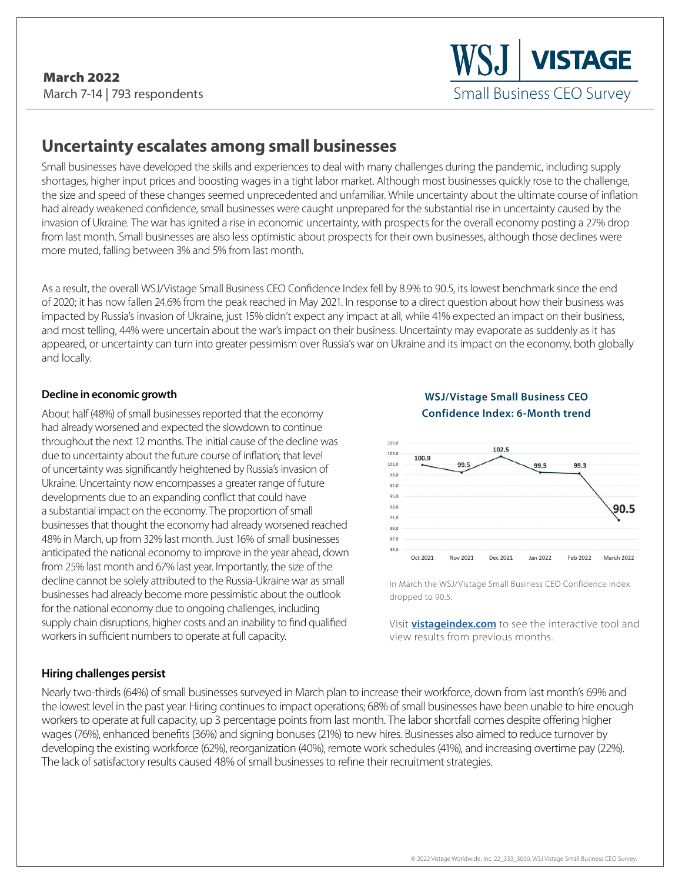# **Uncertainty escalates among small businesses**

Small businesses have developed the skills and experiences to deal with many challenges during the pandemic, including supply shortages, higher input prices and boosting wages in a tight labor market. Although most businesses quickly rose to the challenge, the size and speed of these changes seemed unprecedented and unfamiliar. While uncertainty about the ultimate course of inflation had already weakened confidence, small businesses were caught unprepared for the substantial rise in uncertainty caused by the invasion of Ukraine. The war has ignited a rise in economic uncertainty, with prospects for the overall economy posting a 27% drop from last month. Small businesses are also less optimistic about prospects for their own businesses, although those declines were more muted, falling between 3% and 5% from last month.

As a result, the overall WSJ/Vistage Small Business CEO Confidence Index fell by 8.9% to 90.5, its lowest benchmark since the end of 2020; it has now fallen 24.6% from the peak reached in May 2021. In response to a direct question about how their business was impacted by Russia's invasion of Ukraine, just 15% didn't expect any impact at all, while 41% expected an impact on their business, and most telling, 44% were uncertain about the war's impact on their business. Uncertainty may evaporate as suddenly as it has appeared, or uncertainty can turn into greater pessimism over Russia's war on Ukraine and its impact on the economy, both globally and locally.

#### **Decline in economic growth**

About half (48%) of small businesses reported that the economy had already worsened and expected the slowdown to continue throughout the next 12 months. The initial cause of the decline was due to uncertainty about the future course of inflation; that level of uncertainty was significantly heightened by Russia's invasion of Ukraine. Uncertainty now encompasses a greater range of future developments due to an expanding conflict that could have a substantial impact on the economy. The proportion of small businesses that thought the economy had already worsened reached 48% in March, up from 32% last month. Just 16% of small businesses anticipated the national economy to improve in the year ahead, down from 25% last month and 67% last year. Importantly, the size of the decline cannot be solely attributed to the Russia-Ukraine war as small businesses had already become more pessimistic about the outlook for the national economy due to ongoing challenges, including supply chain disruptions, higher costs and an inability to find qualified workers in sufficient numbers to operate at full capacity.

#### **WSJ/Vistage Small Business CEO Confidence Index: 6-Month trend**



In March the WSJ/Vistage Small Business CEO Confidence Index dropped to 90.5.

Visit **[vistageindex.com](http://www.vistageindex.com)** to see the interactive tool and view results from previous months.

#### **Hiring challenges persist**

Nearly two-thirds (64%) of small businesses surveyed in March plan to increase their workforce, down from last month's 69% and the lowest level in the past year. Hiring continues to impact operations; 68% of small businesses have been unable to hire enough workers to operate at full capacity, up 3 percentage points from last month. The labor shortfall comes despite offering higher wages (76%), enhanced benefits (36%) and signing bonuses (21%) to new hires. Businesses also aimed to reduce turnover by developing the existing workforce (62%), reorganization (40%), remote work schedules (41%), and increasing overtime pay (22%). The lack of satisfactory results caused 48% of small businesses to refine their recruitment strategies.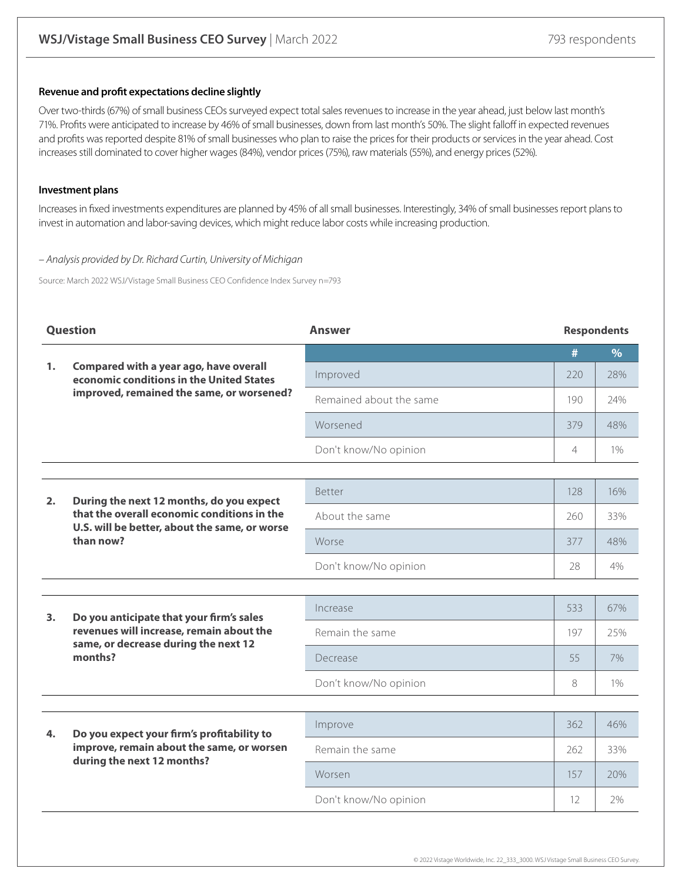#### **Revenue and profit expectations decline slightly**

Over two-thirds (67%) of small business CEOs surveyed expect total sales revenues to increase in the year ahead, just below last month's 71%. Profits were anticipated to increase by 46% of small businesses, down from last month's 50%. The slight falloff in expected revenues and profits was reported despite 81% of small businesses who plan to raise the prices for their products or services in the year ahead. Cost increases still dominated to cover higher wages (84%), vendor prices (75%), raw materials (55%), and energy prices (52%).

#### **Investment plans**

Increases in fixed investments expenditures are planned by 45% of all small businesses. Interestingly, 34% of small businesses report plans to invest in automation and labor-saving devices, which might reduce labor costs while increasing production.

#### – Analysis provided by Dr. Richard Curtin, University of Michigan

Source: March 2022 WSJ/Vistage Small Business CEO Confidence Index Survey n=793

| <b>Question</b>            |                                                                                                                                                       | <b>Answer</b>           | <b>Respondents</b> |               |
|----------------------------|-------------------------------------------------------------------------------------------------------------------------------------------------------|-------------------------|--------------------|---------------|
|                            |                                                                                                                                                       |                         | #                  | $\frac{9}{6}$ |
| 1.                         | Compared with a year ago, have overall<br>economic conditions in the United States                                                                    | Improved                | 220                | 28%           |
|                            | improved, remained the same, or worsened?                                                                                                             | Remained about the same | 190                | 24%           |
|                            |                                                                                                                                                       | Worsened                | 379                | 48%           |
|                            |                                                                                                                                                       | Don't know/No opinion   | 4                  | 1%            |
|                            |                                                                                                                                                       |                         |                    |               |
| 2.                         | During the next 12 months, do you expect<br>that the overall economic conditions in the<br>U.S. will be better, about the same, or worse<br>than now? | <b>Better</b>           | 128                | 16%           |
|                            |                                                                                                                                                       | About the same          | 260                | 33%           |
|                            |                                                                                                                                                       | Worse                   | 377                | 48%           |
|                            |                                                                                                                                                       | Don't know/No opinion   | 28                 | 4%            |
|                            |                                                                                                                                                       |                         |                    |               |
| 3.                         | Do you anticipate that your firm's sales<br>revenues will increase, remain about the<br>same, or decrease during the next 12<br>months?               | Increase                | 533                | 67%           |
|                            |                                                                                                                                                       | Remain the same         | 197                | 25%           |
|                            |                                                                                                                                                       | Decrease                | 55                 | 7%            |
|                            |                                                                                                                                                       | Don't know/No opinion   | 8                  | 1%            |
|                            |                                                                                                                                                       |                         |                    |               |
| 4.                         | Do you expect your firm's profitability to                                                                                                            | Improve                 | 362                | 46%           |
| during the next 12 months? | improve, remain about the same, or worsen                                                                                                             | Remain the same         | 262                | 33%           |
|                            |                                                                                                                                                       | Worsen                  | 157                | 20%           |
|                            |                                                                                                                                                       | Don't know/No opinion   | $12 \overline{ }$  | 2%            |
|                            |                                                                                                                                                       |                         |                    |               |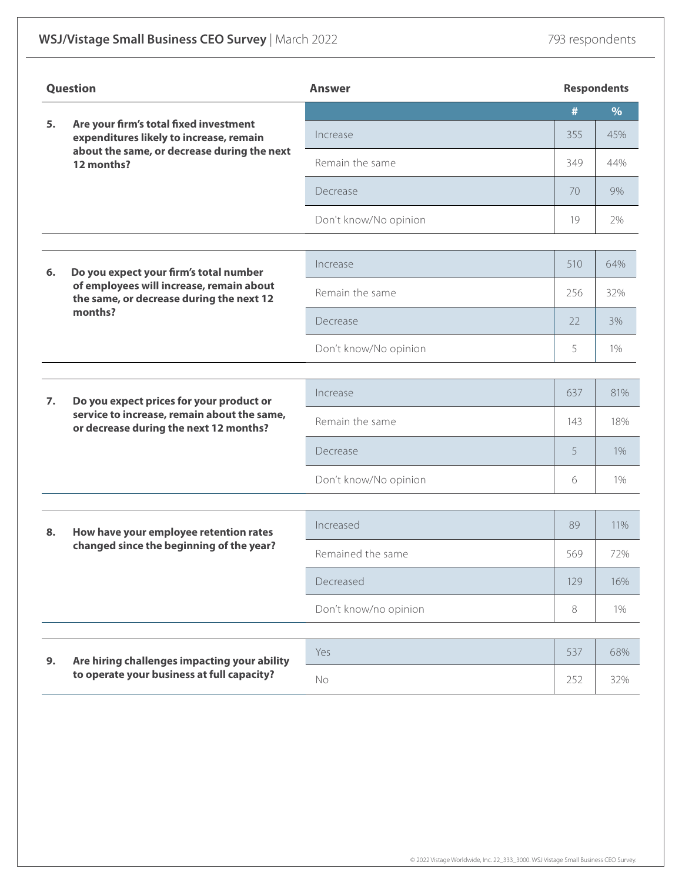| Question         |                                                                                                                                           | Answer                | <b>Respondents</b> |       |  |
|------------------|-------------------------------------------------------------------------------------------------------------------------------------------|-----------------------|--------------------|-------|--|
| 5.               |                                                                                                                                           |                       | #                  | %     |  |
|                  | Are your firm's total fixed investment<br>expenditures likely to increase, remain                                                         | Increase              | 355                | 45%   |  |
|                  | about the same, or decrease during the next<br>12 months?                                                                                 | Remain the same       | 349                | 44%   |  |
|                  |                                                                                                                                           | Decrease              | 70                 | 9%    |  |
|                  |                                                                                                                                           | Don't know/No opinion | 19                 | 2%    |  |
|                  |                                                                                                                                           |                       |                    |       |  |
| 6.               | Do you expect your firm's total number<br>of employees will increase, remain about<br>the same, or decrease during the next 12<br>months? | Increase              | 510                | 64%   |  |
|                  |                                                                                                                                           | Remain the same       | 256                | 32%   |  |
|                  |                                                                                                                                           | Decrease              | 22                 | 3%    |  |
|                  |                                                                                                                                           | Don't know/No opinion | 5                  | 1%    |  |
|                  |                                                                                                                                           |                       |                    |       |  |
| $\overline{7}$ . | Do you expect prices for your product or                                                                                                  | Increase              | 637                | 81%   |  |
|                  | service to increase, remain about the same,<br>or decrease during the next 12 months?                                                     | Remain the same       | 143                | 18%   |  |
|                  |                                                                                                                                           | Decrease              | 5                  | 1%    |  |
|                  |                                                                                                                                           | Don't know/No opinion | 6                  | $1\%$ |  |
|                  |                                                                                                                                           |                       |                    |       |  |
| 8.               | How have your employee retention rates                                                                                                    | Increased             | 89                 | 11%   |  |
|                  | changed since the beginning of the year?                                                                                                  | Remained the same     | 569                | 72%   |  |
|                  |                                                                                                                                           | Decreased             | 129                | 16%   |  |
|                  |                                                                                                                                           | Don't know/no opinion | $\,8\,$            | 1%    |  |
|                  |                                                                                                                                           |                       |                    |       |  |
| 9.               | Are hiring challenges impacting your ability                                                                                              | Yes                   | 537                | 68%   |  |
|                  | to operate your business at full capacity?                                                                                                | No                    | 252                | 32%   |  |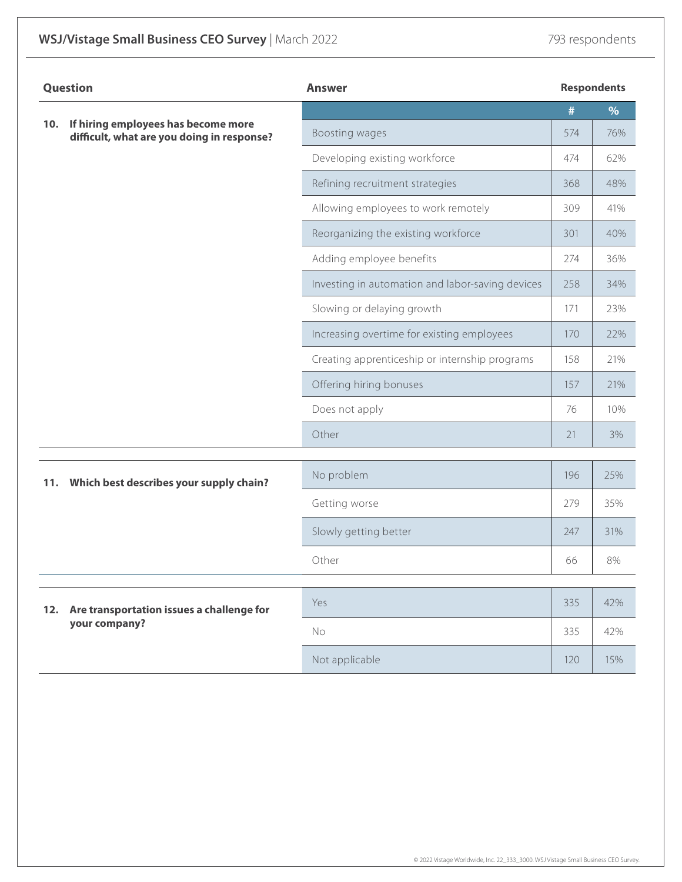| <b>Question</b> |                                                                                   | <b>Answer</b>                                    |      | <b>Respondents</b> |  |
|-----------------|-----------------------------------------------------------------------------------|--------------------------------------------------|------|--------------------|--|
|                 | If hiring employees has become more<br>difficult, what are you doing in response? |                                                  | $\#$ | %                  |  |
| 10.             |                                                                                   | Boosting wages                                   | 574  | 76%                |  |
|                 |                                                                                   | Developing existing workforce                    | 474  | 62%                |  |
|                 |                                                                                   | Refining recruitment strategies                  | 368  | 48%                |  |
|                 |                                                                                   | Allowing employees to work remotely              | 309  | 41%                |  |
|                 |                                                                                   | Reorganizing the existing workforce              | 301  | 40%                |  |
|                 |                                                                                   | Adding employee benefits                         | 274  | 36%                |  |
|                 |                                                                                   | Investing in automation and labor-saving devices | 258  | 34%                |  |
|                 |                                                                                   | Slowing or delaying growth                       | 171  | 23%                |  |
|                 |                                                                                   | Increasing overtime for existing employees       | 170  | 22%                |  |
|                 |                                                                                   | Creating apprenticeship or internship programs   | 158  | 21%                |  |
|                 |                                                                                   | Offering hiring bonuses                          | 157  | 21%                |  |
|                 |                                                                                   | Does not apply                                   | 76   | 10%                |  |
|                 |                                                                                   | Other                                            | 21   | 3%                 |  |
|                 |                                                                                   |                                                  |      |                    |  |
| 11.             | Which best describes your supply chain?                                           | No problem                                       | 196  | 25%                |  |
|                 |                                                                                   | Getting worse                                    | 279  | 35%                |  |
|                 |                                                                                   | Slowly getting better                            | 247  | 31%                |  |
|                 |                                                                                   | Other                                            | 66   | 8%                 |  |
| 12.             | Are transportation issues a challenge for                                         | Yes                                              | 335  | 42%                |  |
|                 | your company?                                                                     | No                                               | 335  | 42%                |  |
|                 |                                                                                   | Not applicable                                   | 120  | 15%                |  |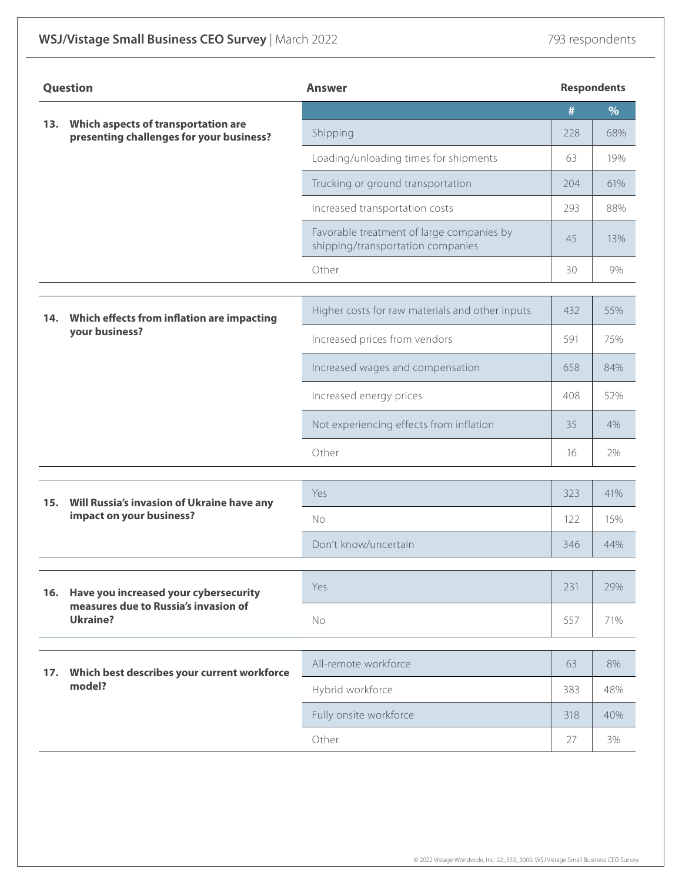| <b>Question</b> |                                                                        | <b>Answer</b>                                                                  | <b>Respondents</b> |     |
|-----------------|------------------------------------------------------------------------|--------------------------------------------------------------------------------|--------------------|-----|
|                 | 13. Which aspects of transportation are                                |                                                                                | #                  | %   |
|                 | presenting challenges for your business?                               | Shipping                                                                       | 228                | 68% |
|                 |                                                                        | Loading/unloading times for shipments                                          | 63                 | 19% |
|                 |                                                                        | Trucking or ground transportation                                              | 204                | 61% |
|                 |                                                                        | Increased transportation costs                                                 | 293                | 88% |
|                 |                                                                        | Favorable treatment of large companies by<br>shipping/transportation companies | 45                 | 13% |
|                 |                                                                        | Other                                                                          | 30                 | 9%  |
|                 |                                                                        |                                                                                |                    |     |
| 14.             | Which effects from inflation are impacting<br>your business?           | Higher costs for raw materials and other inputs                                | 432                | 55% |
|                 |                                                                        | Increased prices from vendors                                                  | 591                | 75% |
|                 |                                                                        | Increased wages and compensation                                               | 658                | 84% |
|                 |                                                                        | Increased energy prices                                                        | 408                | 52% |
|                 |                                                                        | Not experiencing effects from inflation                                        | 35                 | 4%  |
|                 |                                                                        | Other                                                                          | 16                 | 2%  |
|                 |                                                                        | Yes                                                                            | 323                | 41% |
| 15.             | Will Russia's invasion of Ukraine have any<br>impact on your business? | No                                                                             | 122                | 15% |
|                 |                                                                        | Don't know/uncertain                                                           | 346                | 44% |
|                 |                                                                        |                                                                                |                    |     |
|                 | 16. Have you increased your cybersecurity                              | Yes                                                                            | 231                | 29% |
|                 | measures due to Russia's invasion of<br><b>Ukraine?</b>                | No                                                                             | 557                | 71% |
|                 | 17. Which best describes your current workforce<br>model?              | All-remote workforce                                                           | 63                 | 8%  |
|                 |                                                                        | Hybrid workforce                                                               | 383                | 48% |
|                 |                                                                        | Fully onsite workforce                                                         | 318                | 40% |
|                 |                                                                        | Other                                                                          | 27                 | 3%  |
|                 |                                                                        |                                                                                |                    |     |